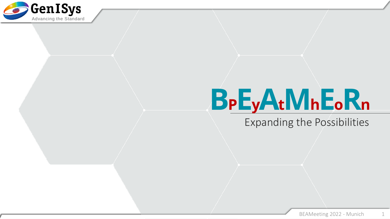

# **BPEyAtMhEoR<sup>n</sup>**

Expanding the Possibilities

1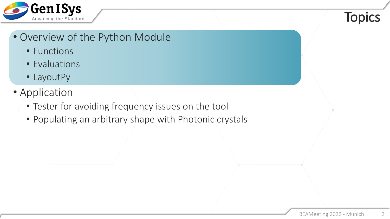

#### **Topics**

#### • Overview of the Python Module

- Functions
- Evaluations
- LayoutPy
- Application
	- Tester for avoiding frequency issues on the tool
	- Populating an arbitrary shape with Photonic crystals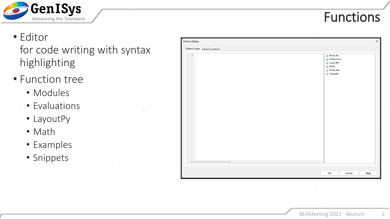

## Functions

- Editor for code writing with syntax highlighting
- Function tree
	- Modules
	- Evaluations
	- LayoutPy
	- Math
	- Examples
	- Snippets

| Python Dialog                 | $\times$                                                                                                                                          |
|-------------------------------|---------------------------------------------------------------------------------------------------------------------------------------------------|
| Python Script   Label/Comment |                                                                                                                                                   |
| $\mathbf{1}$                  | $\overline{\mathbb{H}}$ Modules<br><b>Evaluations</b><br>்.<br>⊞- LayoutPy<br>$\mathbb{H}$ Math<br>$\mathbf{F}$ Examples<br>$\mathbf{B}$ Snippets |
|                               |                                                                                                                                                   |
|                               |                                                                                                                                                   |
|                               | OK<br>Cancel<br>Help<br>.ă                                                                                                                        |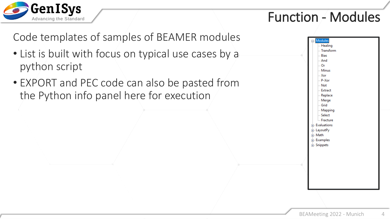

#### Function - Modules

Code templates of samples of BEAMER modules

- List is built with focus on typical use cases by a python script
- EXPORT and PEC code can also be pasted from the Python info panel here for execution

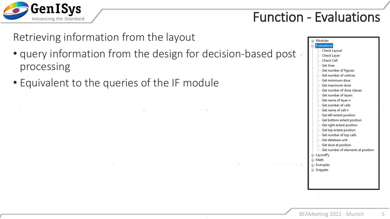

#### Function - Evaluations

Retrieving information from the layout

- query information from the design for decision-based post processing
- Equivalent to the queries of the IF module

| <b>E</b> -Modules                  |
|------------------------------------|
| Evaluations                        |
| - Check Layout                     |
| - Check Layer                      |
| $\mathrel{\mathop:}=$ Check Cell   |
| <b>Get Area</b>                    |
| Get number of figures !!!          |
| <b>Get number of vertices</b>      |
| Get minimum dose                   |
| lla Get maximum dose               |
| Get number of dose classes         |
| Get number of layers …             |
| Get name of layer n                |
| $\blacksquare$ Get number of cells |
| Get name of cell n                 |
| Get left extent position           |
| Get bottom extent position         |
| Get right extent position          |
| Get top extent position            |
| Get number of top cells            |
| <b>Get database unit</b>           |
| Get dose at position               |
| Get number of elements at position |
| 面 LayoutPy                         |
| 中 Math                             |
| 由 Examples                         |
| <b>E</b> . Snippets                |
|                                    |
|                                    |
|                                    |
|                                    |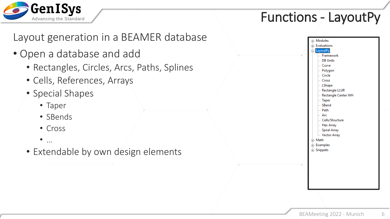

#### Functions  $\frac{1}{2}$  LayoutPy

Layout generation in a BEAMER database

- Open a database and add
	- Rectangles, Circles, Arcs, Paths, Splines
	- Cells, References, Arrays
	- Special Shapes
		- Taper
		- SBends
		- Cross
		- $\bullet$  …
	- Extendable by own design elements

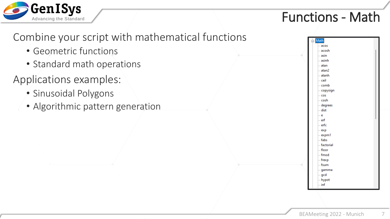

#### Functions - Math

Math acos acosh asin asinh atan atan2 atanh ceil comb copysign cos cosh degrees dist e erf erfc  $exp$ 



expm1 fabs factorial floor fmod frexp fsum gamma gcd hypot inf BEAMeeting 2022 - Munich 7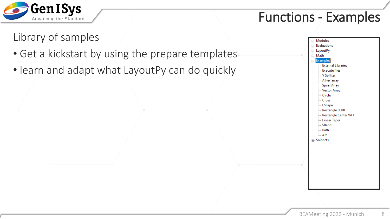

#### Functions - Examples

#### Library of samples

- Get a kickstart by using the prepare templates
- learn and adapt what LayoutPy can do quickly

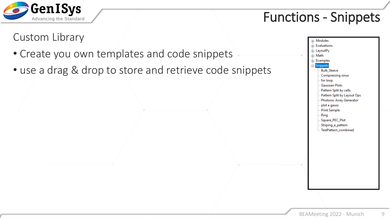

## Functions - Snippets

#### Custom Library

- Create you own templates and code snippets
- use a drag & drop to store and retrieve code snippets

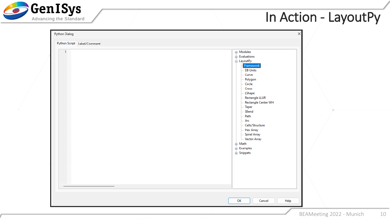

| Python Dialog<br>Python Script Label/Comment<br>$\overline{1}$ | X<br><b>E</b> -Modules<br>$\mathbf{F}$ . Evaluations<br>ட்ட LayoutPy<br>Framework<br>DB Units<br>Curve<br>Polygon<br>Circle<br>Cross<br>LShape<br>Rectangle LLUR<br>Rectangle Center WH<br><b>Taper</b><br>SBend<br>Path<br>Arc<br>Cells/Structure<br>- Hex Array<br>Spiral Array<br>Vector Array<br><b>⊕்</b> Math<br>$\mathbf{E}$ Examples<br><b>E</b> Snippets |
|----------------------------------------------------------------|-------------------------------------------------------------------------------------------------------------------------------------------------------------------------------------------------------------------------------------------------------------------------------------------------------------------------------------------------------------------|
|                                                                | OK<br>Cancel<br>Help<br>BEAMeeting 2022 - Munich<br>10                                                                                                                                                                                                                                                                                                            |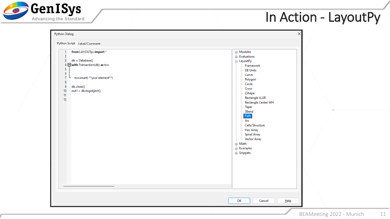

| from LAYOUTpy import*<br>1<br>$\overline{2}$<br>$db = Database()$<br>3<br>4 with Transaction(db) as txn:<br>5 <sub>1</sub><br>$\overline{6}$<br>$\overline{7}$<br>txn.insert( ** your element**)<br>8<br>9<br>db.close()<br>out1 = db.togobject()<br>10 <sub>1</sub><br>11<br>12 | <b>E</b> -Modules<br>$\mathbf{F}$ . Evaluations<br>். LayoutPy<br>Framework<br><b>DB Units</b><br>Curve<br>Polygon<br>Circle<br>Cross<br>LShape<br>Rectangle LLUR<br>Rectangle Center WH<br><b>Taper</b><br>SBend<br>Path<br>$-$ Arc<br>- Cells/Structure<br>- Hex Array<br>Spiral Array<br>Vector Array<br>ட் Math<br>$\mathbf{E}$ Examples<br><b>E</b> . Snippets |  |
|----------------------------------------------------------------------------------------------------------------------------------------------------------------------------------------------------------------------------------------------------------------------------------|---------------------------------------------------------------------------------------------------------------------------------------------------------------------------------------------------------------------------------------------------------------------------------------------------------------------------------------------------------------------|--|
|----------------------------------------------------------------------------------------------------------------------------------------------------------------------------------------------------------------------------------------------------------------------------------|---------------------------------------------------------------------------------------------------------------------------------------------------------------------------------------------------------------------------------------------------------------------------------------------------------------------------------------------------------------------|--|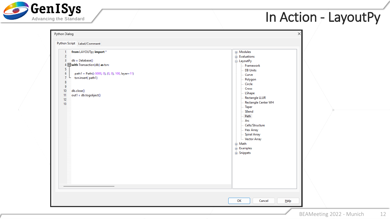

| $\overline{2}$<br>$\mathbb{H}$ Evaluations<br>$db = Database()$<br>3<br>். LayoutPy<br>4 With Transaction(db) as txn:<br>Framework<br>5<br><b>DB Units</b><br>$\boldsymbol{6}$<br>path1 = Path((-5000, 0), (0, 0), 100, layer=11)<br>Curve<br>$\overline{7}$<br>txn.insert(path1)<br>Polygon<br>$\bf{8}$<br>Circle<br>9<br>Cross<br>10 <sub>1</sub><br>db.close()<br>LShape<br>out1 = db.togobject()<br>11<br>Rectangle LLUR<br>12<br>Rectangle Center WH<br>13<br>- Taper<br>SBend<br>Path<br>Arc<br>- Cells/Structure<br>- Hex Array<br>Spiral Array<br>Vector Array<br>ட் Math<br>ட். Examples<br><b>E</b> Snippets<br>OK<br>Cancel<br>$H$ elp | Python Script Label/Comment<br>from LAYOUTpy import *<br>-1 | <b>E</b> -Modules |  |
|---------------------------------------------------------------------------------------------------------------------------------------------------------------------------------------------------------------------------------------------------------------------------------------------------------------------------------------------------------------------------------------------------------------------------------------------------------------------------------------------------------------------------------------------------------------------------------------------------------------------------------------------------|-------------------------------------------------------------|-------------------|--|
|                                                                                                                                                                                                                                                                                                                                                                                                                                                                                                                                                                                                                                                   |                                                             |                   |  |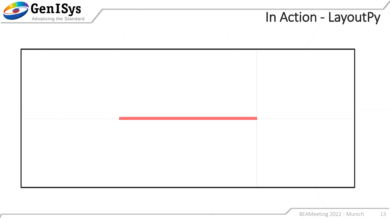

| <u>. De estados de la contrada de la contrada de la contrada de la contrada de la contrada de la contrada de la c</u> |  |  |
|-----------------------------------------------------------------------------------------------------------------------|--|--|
|                                                                                                                       |  |  |
|                                                                                                                       |  |  |
|                                                                                                                       |  |  |
|                                                                                                                       |  |  |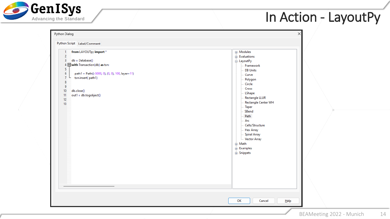

| from LAYOUTpy import*<br>$\overline{2}$<br>$\overline{\mathbf{3}}$<br>$db = Database()$<br>4 With Transaction(db) as txn:<br>$\overline{5}$<br>$\boldsymbol{6}$<br>path1 = Path((-5000, 0), (0, 0), 100, layer=11)<br>$\overline{7}$<br>txn.insert(path1)<br>$\bf{8}$<br>$\overline{9}$<br>10<br>db.close()<br>out1 = db.togobject()<br>11<br>12<br>13 | 田· Modules<br>$\mathbb{H}$ Evaluations<br>். LayoutPy<br>Framework<br><b>DB Units</b><br>Curve<br>Polygon<br>Circle<br>Cross<br>LShape<br><b>Rectangle LLUR</b><br>Rectangle Center WH<br><b>Taper</b><br>SBend<br>Path<br>Arc<br>Cells/Structure<br><b>Hex Array</b><br>Spiral Array<br>Vector Array<br>ட் Math<br>$\frac{1}{2}$ Examples<br><b>E.</b> Snippets |  |
|--------------------------------------------------------------------------------------------------------------------------------------------------------------------------------------------------------------------------------------------------------------------------------------------------------------------------------------------------------|------------------------------------------------------------------------------------------------------------------------------------------------------------------------------------------------------------------------------------------------------------------------------------------------------------------------------------------------------------------|--|
|                                                                                                                                                                                                                                                                                                                                                        |                                                                                                                                                                                                                                                                                                                                                                  |  |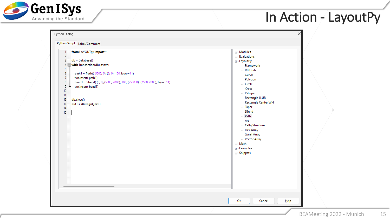

| from LAYOUTpy import*<br>-1<br>$\overline{2}$<br>$db = Database()$<br>3<br>4 $\Box$ with Transaction(db) as txn:<br>5<br>$\boldsymbol{6}$<br>path1 = Path((-5000, 0), (0, 0), 100, layer=11)<br>$\boldsymbol{7}$<br>txn.insert(path1)<br>$\bf{8}$<br>bend1 = Sbend((0, 0),(5000, 2000), 100, (2500, 0), (2500, 2000), layer=11)<br>9<br>txn.insert(bend1)<br>$10\,$<br>11<br>12<br>db.close()<br>out1 = db.togobject()<br>13<br>14<br>15 | 田· Modules<br>$\mathbf{F}$ Evaluations<br><b>E</b> LayoutPy<br>Framework<br><b>DB Units</b><br>Curve<br>Polygon<br>Circle<br>Cross<br><b>LShape</b><br>Rectangle LLUR<br>Rectangle Center WH<br><b>Taper</b><br>SBend<br>Path<br>Arc<br>Cells/Structure<br>Hex Array<br><b>Spiral Array</b><br>Vector Array<br><b>⊕் Math</b><br><b>Examples</b><br><b>E</b> . Snippets |  |
|------------------------------------------------------------------------------------------------------------------------------------------------------------------------------------------------------------------------------------------------------------------------------------------------------------------------------------------------------------------------------------------------------------------------------------------|-------------------------------------------------------------------------------------------------------------------------------------------------------------------------------------------------------------------------------------------------------------------------------------------------------------------------------------------------------------------------|--|
|------------------------------------------------------------------------------------------------------------------------------------------------------------------------------------------------------------------------------------------------------------------------------------------------------------------------------------------------------------------------------------------------------------------------------------------|-------------------------------------------------------------------------------------------------------------------------------------------------------------------------------------------------------------------------------------------------------------------------------------------------------------------------------------------------------------------------|--|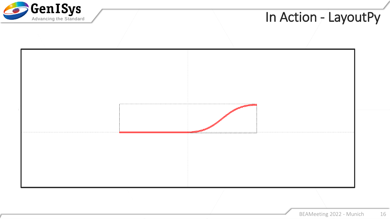

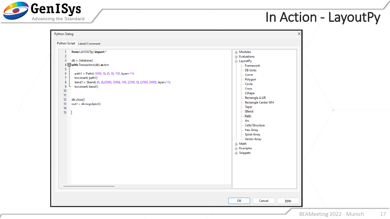

| from LAYOUTpy import*<br>1<br>$\overline{2}$<br>$db = Database()$<br>3<br>4 With Transaction(db) as txn:<br>5 <sub>1</sub><br>$\overline{6}$<br>path1 = Path((-5000, 0), (0, 0), 100, layer=11)<br>$\mathbf{7}$<br>txn.insert(path1)<br>$\bf{8}$<br>bend1 = Sbend((0, 0),(5000, 2000), 100, (2500, 0), (2500, 2000), layer=11)<br>9<br>txn.insert(bend1)<br>10 <sub>1</sub><br>11<br>12 <sub>2</sub><br>db.close()<br>13<br>out1 = db.togobject()<br>14<br>15 | <b>E</b> -Modules<br>Evaluations<br><b>்.</b> LayoutPy<br>- Framework<br><b>DB Units</b><br>Curve<br>Polygon<br>Circle<br>Cross<br>LShape<br>Rectangle LLUR<br><b>Rectangle Center WH</b><br>Taper<br>SBend<br>Path<br>Arc<br>Cells/Structure<br>- Hex Array<br>Spiral Array<br><b>Vector Array</b><br><b>⊕்</b> Math<br>$\mathbf{E}$ Examples<br><b>E</b> . Snippets |  |
|---------------------------------------------------------------------------------------------------------------------------------------------------------------------------------------------------------------------------------------------------------------------------------------------------------------------------------------------------------------------------------------------------------------------------------------------------------------|-----------------------------------------------------------------------------------------------------------------------------------------------------------------------------------------------------------------------------------------------------------------------------------------------------------------------------------------------------------------------|--|
|                                                                                                                                                                                                                                                                                                                                                                                                                                                               |                                                                                                                                                                                                                                                                                                                                                                       |  |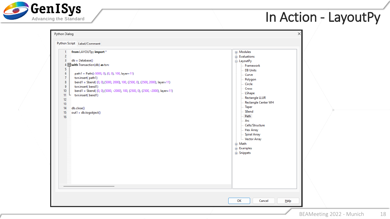

| from LAYOUTpy import *<br>$\overline{2}$<br>3<br>$db = Database()$<br>4 With Transaction(db) as txn:<br>5<br>$\boldsymbol{6}$<br>path1 = Path((-5000, 0), (0, 0), 100, layer=11)<br>$\overline{7}$<br>txn.insert(path1)<br>$\bf{8}$<br>bend1 = Sbend((0, 0),(5000, 2000), 100, (2500, 0), (2500, 2000), layer=11)<br>$\overline{9}$<br>txn.insert(bend1)<br>bend1 = Sbend((0,0),(5000, -2000), 100, (2500, 0), (2500, -2000), layer=11)<br>10<br>txn.insert(bend1)<br>11<br>12<br>13<br>14<br>db.close()<br>out1 = db.togobject()<br>15<br>16 | <b>E</b> -Modules<br>Evaluations<br><b>o</b> . LayoutPy<br>Framework<br><b>DB Units</b><br>Curve<br>Polygon<br>Circle<br>Cross<br><b>LShape</b><br>Rectangle LLUR<br>Rectangle Center WH<br><b>Taper</b><br>SBend<br>Path<br>Arc<br>Cells/Structure<br><b>Hex Array</b><br>Spiral Array<br>Vector Array<br>ட் Math<br>Examples<br><b>E</b> . Snippets<br>OK<br>Cancel<br>Help |  |  |  |
|-----------------------------------------------------------------------------------------------------------------------------------------------------------------------------------------------------------------------------------------------------------------------------------------------------------------------------------------------------------------------------------------------------------------------------------------------------------------------------------------------------------------------------------------------|-------------------------------------------------------------------------------------------------------------------------------------------------------------------------------------------------------------------------------------------------------------------------------------------------------------------------------------------------------------------------------|--|--|--|
|-----------------------------------------------------------------------------------------------------------------------------------------------------------------------------------------------------------------------------------------------------------------------------------------------------------------------------------------------------------------------------------------------------------------------------------------------------------------------------------------------------------------------------------------------|-------------------------------------------------------------------------------------------------------------------------------------------------------------------------------------------------------------------------------------------------------------------------------------------------------------------------------------------------------------------------------|--|--|--|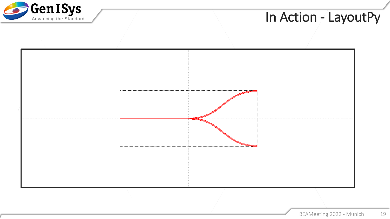

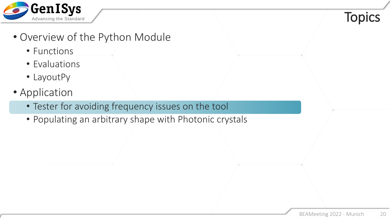

#### **Topics**

- Overview of the Python Module
	- Functions
	- Evaluations
	- LayoutPy
- Application
	- Tester for avoiding frequency issues on the tool
	- Populating an arbitrary shape with Photonic crystals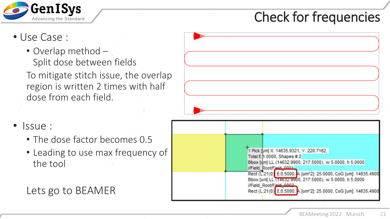

## Check for frequencies

- Use Case :
	- Overlap method Split dose between fields

To mitigate stitch issue, the overlap region is written 2 times with half dose from each field.



- Issue :
	- The dose factor becomes 0.5
	- Leading to use max frequency of the tool

#### Lets go to BEAMER

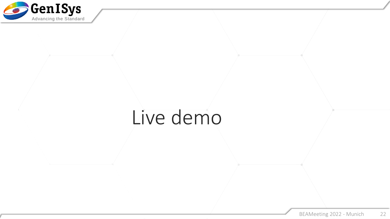

## Live demo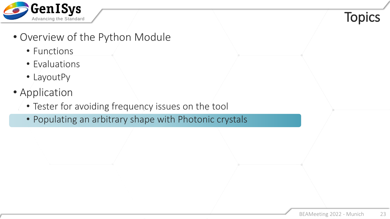

#### **Topics**

- Overview of the Python Module
	- Functions
	- Evaluations
	- LayoutPy
- Application
	- Tester for avoiding frequency issues on the tool
	- Populating an arbitrary shape with Photonic crystals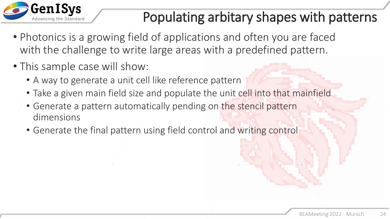

## Populating arbitary shapes with patterns

- Photonics is a growing field of applications and often you are faced with the challenge to write large areas with a predefined pattern.
- This sample case will show:
	- A way to generate a unit cell like reference pattern
	- Take a given main field size and populate the unit cell into that mainfield
	- Generate a pattern automatically pending on the stencil pattern dimensions
	- Generate the final pattern using field control and writing control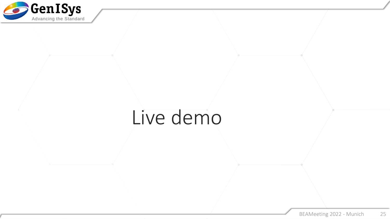

## Live demo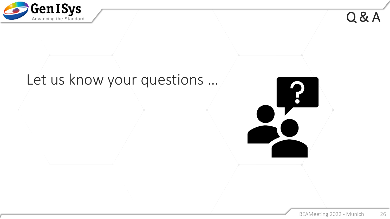

Q & A

## Let us know your questions …